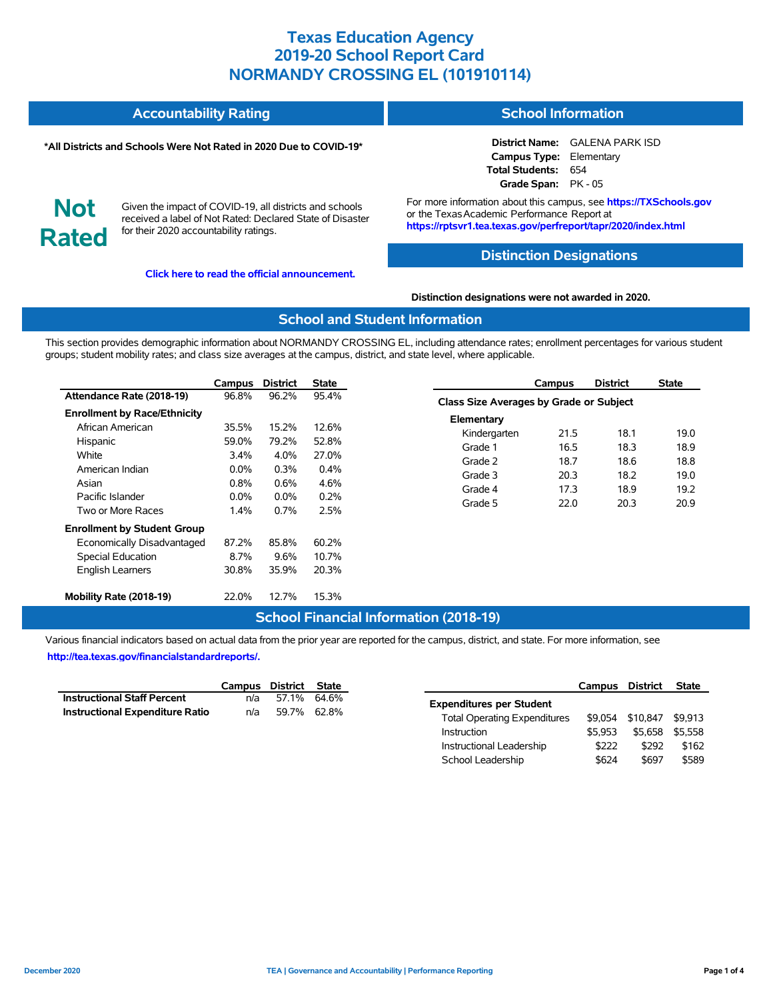#### **Accountability Rating School Information**

#### **\*All Districts and Schools Were Not Rated in 2020 Due to COVID-19\***

**District Name:** GALENA PARK ISD **Campus Type:** Elementary **Total Students:** 654 **Grade Span:** PK - 05

**Not Rated**

Given the impact of COVID-19, all districts and schools received a label of Not Rated: Declared State of Disaster for their 2020 accountability ratings.

**[Click here to read the official announcement.](https://tea.texas.gov/about-tea/news-and-multimedia/correspondence/taa-letters/every-student-succeeds-act-essa-waiver-approval-2020-state-academic-accountability)**

For more information about this campus, see **https://TXSchools.gov** or the TexasAcademic Performance Report at **https://rptsvr1.tea.texas.gov/perfreport/tapr/2020/index.html**

#### **Distinction Designations**

#### **Distinction designations were not awarded in 2020.**

#### **School and Student Information**

This section provides demographic information about NORMANDY CROSSING EL, including attendance rates; enrollment percentages for various student groups; student mobility rates; and class size averages at the campus, district, and state level, where applicable.

|                                     | Campus  | <b>District</b> | <b>State</b> |
|-------------------------------------|---------|-----------------|--------------|
| Attendance Rate (2018-19)           | 96.8%   | 96.2%           | 95.4%        |
| <b>Enrollment by Race/Ethnicity</b> |         |                 |              |
| African American                    | 35.5%   | 15.2%           | 12.6%        |
| Hispanic                            | 59.0%   | 79.2%           | 52.8%        |
| White                               | $3.4\%$ | 4.0%            | 27.0%        |
| American Indian                     | $0.0\%$ | $0.3\%$         | $0.4\%$      |
| Asian                               | $0.8\%$ | 0.6%            | 4.6%         |
| Pacific Islander                    | $0.0\%$ | $0.0\%$         | 0.2%         |
| Two or More Races                   | $1.4\%$ | 0.7%            | 2.5%         |
| <b>Enrollment by Student Group</b>  |         |                 |              |
| Economically Disadvantaged          | 87.2%   | 85.8%           | 60.2%        |
| Special Education                   | 8.7%    | 9.6%            | 10.7%        |
| <b>English Learners</b>             | 30.8%   | 35.9%           | 20.3%        |
| Mobility Rate (2018-19)             | 22.0%   | 12.7%           | 15.3%        |

|                                                | Campus | <b>District</b> | <b>State</b> |  |  |  |  |  |  |  |
|------------------------------------------------|--------|-----------------|--------------|--|--|--|--|--|--|--|
| <b>Class Size Averages by Grade or Subject</b> |        |                 |              |  |  |  |  |  |  |  |
| Elementary                                     |        |                 |              |  |  |  |  |  |  |  |
| Kindergarten                                   | 21.5   | 18.1            | 19.0         |  |  |  |  |  |  |  |
| Grade 1                                        | 16.5   | 18.3            | 18.9         |  |  |  |  |  |  |  |
| Grade 2                                        | 18.7   | 18.6            | 18.8         |  |  |  |  |  |  |  |
| Grade 3                                        | 20.3   | 18.2            | 19.0         |  |  |  |  |  |  |  |
| Grade 4                                        | 17.3   | 18.9            | 19.2         |  |  |  |  |  |  |  |
| Grade 5                                        | 22.0   | 20.3            | 20.9         |  |  |  |  |  |  |  |

### **School Financial Information (2018-19)**

Various financial indicators based on actual data from the prior year are reported for the campus, district, and state. For more information, see **[http://tea.texas.gov/financialstandardreports/.](http://tea.texas.gov/financialstandardreports/)**

|                                        | Campus District State |             |  |
|----------------------------------------|-----------------------|-------------|--|
| <b>Instructional Staff Percent</b>     | n/a                   | 57.1% 64.6% |  |
| <b>Instructional Expenditure Ratio</b> | n/a                   | 59.7% 62.8% |  |

|                                     | Campus  | District | <b>State</b> |
|-------------------------------------|---------|----------|--------------|
| <b>Expenditures per Student</b>     |         |          |              |
| <b>Total Operating Expenditures</b> | \$9.054 | \$10.847 | \$9.913      |
| Instruction                         | \$5.953 | \$5.658  | \$5.558      |
| Instructional Leadership            | \$222   | \$292    | \$162        |
| School Leadership                   | \$624   | \$697    | \$589        |

Ĭ.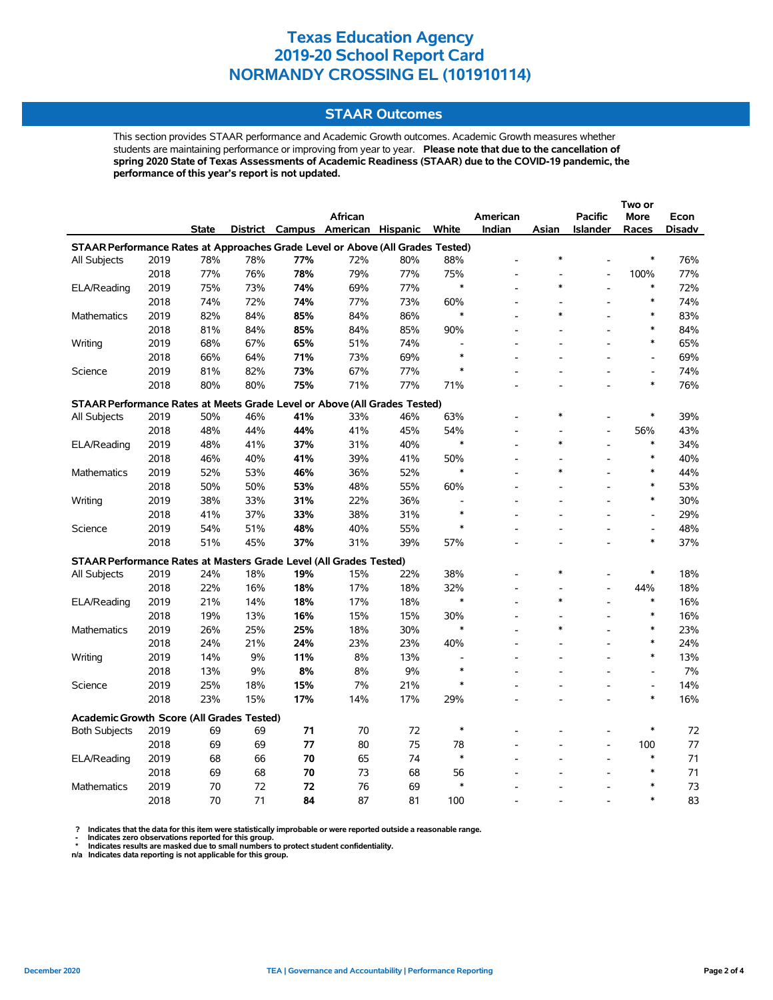### **STAAR Outcomes**

This section provides STAAR performance and Academic Growth outcomes. Academic Growth measures whether students are maintaining performance or improving from year to year. **Please note that due to the cancellation of spring 2020 State of Texas Assessments of Academic Readiness (STAAR) due to the COVID-19 pandemic, the performance of this year's report is not updated.**

|                                                                                |      |              |     |     |                                   |     |               |                | Two or |                          |                              |        |
|--------------------------------------------------------------------------------|------|--------------|-----|-----|-----------------------------------|-----|---------------|----------------|--------|--------------------------|------------------------------|--------|
|                                                                                |      |              |     |     | <b>African</b>                    |     |               | American       |        | <b>Pacific</b>           | <b>More</b>                  | Econ   |
|                                                                                |      | <b>State</b> |     |     | District Campus American Hispanic |     | White         | Indian         | Asian  | Islander                 | Races                        | Disadv |
| STAAR Performance Rates at Approaches Grade Level or Above (All Grades Tested) |      |              |     |     |                                   |     |               |                |        |                          |                              |        |
| All Subjects                                                                   | 2019 | 78%          | 78% | 77% | 72%                               | 80% | 88%           |                | *      |                          | $\ast$                       | 76%    |
|                                                                                | 2018 | 77%          | 76% | 78% | 79%                               | 77% | 75%           | $\overline{a}$ |        | $\overline{a}$           | 100%                         | 77%    |
| ELA/Reading                                                                    | 2019 | 75%          | 73% | 74% | 69%                               | 77% | $\ast$        |                | $\ast$ |                          | $\ast$                       | 72%    |
|                                                                                | 2018 | 74%          | 72% | 74% | 77%                               | 73% | 60%           |                |        |                          | $\ast$                       | 74%    |
| <b>Mathematics</b>                                                             | 2019 | 82%          | 84% | 85% | 84%                               | 86% | $\ast$        |                | *      |                          | $\ast$                       | 83%    |
|                                                                                | 2018 | 81%          | 84% | 85% | 84%                               | 85% | 90%           |                |        | $\overline{a}$           | $\ast$                       | 84%    |
| Writing                                                                        | 2019 | 68%          | 67% | 65% | 51%                               | 74% |               |                |        |                          | $\ast$                       | 65%    |
|                                                                                | 2018 | 66%          | 64% | 71% | 73%                               | 69% | $\ast$        |                |        |                          | $\overline{a}$               | 69%    |
| Science                                                                        | 2019 | 81%          | 82% | 73% | 67%                               | 77% |               |                |        |                          | $\qquad \qquad \blacksquare$ | 74%    |
|                                                                                | 2018 | 80%          | 80% | 75% | 71%                               | 77% | 71%           |                |        |                          | $\ast$                       | 76%    |
| STAAR Performance Rates at Meets Grade Level or Above (All Grades Tested)      |      |              |     |     |                                   |     |               |                |        |                          |                              |        |
| All Subjects                                                                   | 2019 | 50%          | 46% | 41% | 33%                               | 46% | 63%           |                | $\ast$ |                          | $\ast$                       | 39%    |
|                                                                                | 2018 | 48%          | 44% | 44% | 41%                               | 45% | 54%           |                |        | L,                       | 56%                          | 43%    |
| ELA/Reading                                                                    | 2019 | 48%          | 41% | 37% | 31%                               | 40% | $\ast$        |                | $\ast$ |                          | $\ast$                       | 34%    |
|                                                                                | 2018 | 46%          | 40% | 41% | 39%                               | 41% | 50%           |                |        |                          | $\ast$                       | 40%    |
| Mathematics                                                                    | 2019 | 52%          | 53% | 46% | 36%                               | 52% | $\ast$        |                | $\ast$ |                          | $\ast$                       | 44%    |
|                                                                                | 2018 | 50%          | 50% | 53% | 48%                               | 55% | 60%           |                |        | $\overline{a}$           | $\ast$                       | 53%    |
| Writing                                                                        | 2019 | 38%          | 33% | 31% | 22%                               | 36% |               |                |        | $\overline{\phantom{a}}$ | $\ast$                       | 30%    |
|                                                                                | 2018 | 41%          | 37% | 33% | 38%                               | 31% | $\ast$        |                |        |                          | $\overline{\phantom{a}}$     | 29%    |
| Science                                                                        | 2019 | 54%          | 51% | 48% | 40%                               | 55% | $\ast$        |                |        |                          | $\overline{a}$               | 48%    |
|                                                                                | 2018 | 51%          | 45% | 37% | 31%                               | 39% | 57%           |                |        |                          | $\ast$                       | 37%    |
|                                                                                |      |              |     |     |                                   |     |               |                |        |                          |                              |        |
| STAAR Performance Rates at Masters Grade Level (All Grades Tested)             |      |              |     |     |                                   |     |               |                | $\ast$ |                          |                              |        |
| All Subjects                                                                   | 2019 | 24%          | 18% | 19% | 15%                               | 22% | 38%           |                |        |                          | $\ast$                       | 18%    |
|                                                                                | 2018 | 22%          | 16% | 18% | 17%                               | 18% | 32%           | $\overline{a}$ | $\ast$ | $\overline{a}$           | 44%                          | 18%    |
| ELA/Reading                                                                    | 2019 | 21%          | 14% | 18% | 17%                               | 18% | ∗             |                |        | L,                       | $\ast$<br>$\ast$             | 16%    |
|                                                                                | 2018 | 19%          | 13% | 16% | 15%                               | 15% | 30%<br>$\ast$ | $\overline{a}$ | $\ast$ | $\overline{a}$           |                              | 16%    |
| Mathematics                                                                    | 2019 | 26%          | 25% | 25% | 18%                               | 30% |               |                |        |                          | $\ast$<br>$\ast$             | 23%    |
|                                                                                | 2018 | 24%          | 21% | 24% | 23%                               | 23% | 40%           |                |        |                          | $\ast$                       | 24%    |
| Writing                                                                        | 2019 | 14%          | 9%  | 11% | 8%                                | 13% |               |                |        |                          |                              | 13%    |
|                                                                                | 2018 | 13%          | 9%  | 8%  | 8%                                | 9%  | $\ast$        |                |        |                          | $\overline{a}$               | 7%     |
| Science                                                                        | 2019 | 25%          | 18% | 15% | 7%                                | 21% | $\ast$        |                |        |                          | $\overline{\phantom{a}}$     | 14%    |
|                                                                                | 2018 | 23%          | 15% | 17% | 14%                               | 17% | 29%           |                |        | $\overline{a}$           | $\ast$                       | 16%    |
| Academic Growth Score (All Grades Tested)                                      |      |              |     |     |                                   |     |               |                |        |                          |                              |        |
| <b>Both Subjects</b>                                                           | 2019 | 69           | 69  | 71  | 70                                | 72  | $\ast$        |                |        |                          | $\ast$                       | 72     |
|                                                                                | 2018 | 69           | 69  | 77  | 80                                | 75  | 78            |                |        | $\overline{a}$           | 100                          | 77     |
| ELA/Reading                                                                    | 2019 | 68           | 66  | 70  | 65                                | 74  | $\ast$        |                |        |                          | $\ast$                       | 71     |
|                                                                                | 2018 | 69           | 68  | 70  | 73                                | 68  | 56            |                |        |                          | $\ast$                       | 71     |
| <b>Mathematics</b>                                                             | 2019 | 70           | 72  | 72  | 76                                | 69  | $\ast$        |                |        |                          | $\ast$                       | 73     |
|                                                                                | 2018 | 70           | 71  | 84  | 87                                | 81  | 100           |                |        |                          | $\ast$                       | 83     |

? Indicates that the data for this item were statistically improbable or were reported outside a reasonable range.<br>- Indicates zero observations reported for this group.<br>\* Indicates results are masked due to small numbers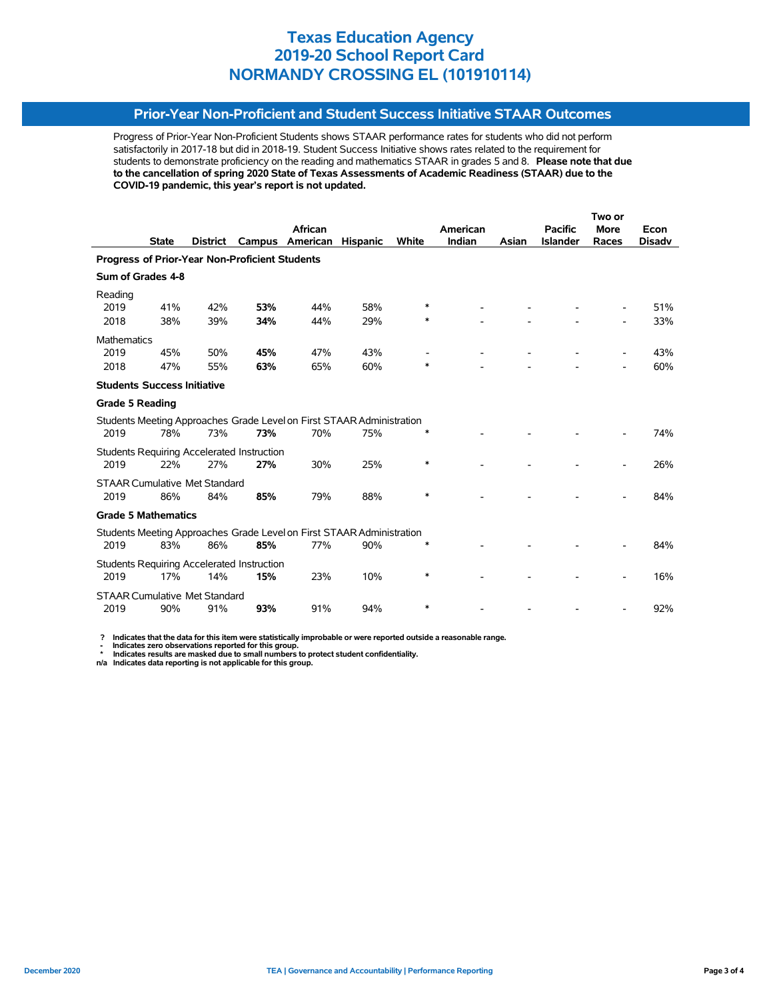### **Prior-Year Non-Proficient and Student Success Initiative STAAR Outcomes**

Progress of Prior-Year Non-Proficient Students shows STAAR performance rates for students who did not perform satisfactorily in 2017-18 but did in 2018-19. Student Success Initiative shows rates related to the requirement for students to demonstrate proficiency on the reading and mathematics STAAR in grades 5 and 8. **Please note that due to the cancellation of spring 2020 State of Texas Assessments of Academic Readiness (STAAR) due to the COVID-19 pandemic, this year's report is not updated.**

|                                                       |              |                                      |                                                   |                                                                       |                 |              |          | Two or |                 |             |               |
|-------------------------------------------------------|--------------|--------------------------------------|---------------------------------------------------|-----------------------------------------------------------------------|-----------------|--------------|----------|--------|-----------------|-------------|---------------|
|                                                       |              |                                      |                                                   | African                                                               |                 |              | American |        | <b>Pacific</b>  | <b>More</b> | Econ          |
|                                                       | <b>State</b> | <b>District</b>                      | Campus                                            | American                                                              | <b>Hispanic</b> | <b>White</b> | Indian   | Asian  | <b>Islander</b> | Races       | <b>Disadv</b> |
| <b>Progress of Prior-Year Non-Proficient Students</b> |              |                                      |                                                   |                                                                       |                 |              |          |        |                 |             |               |
| Sum of Grades 4-8                                     |              |                                      |                                                   |                                                                       |                 |              |          |        |                 |             |               |
| Reading                                               |              |                                      |                                                   |                                                                       |                 |              |          |        |                 |             |               |
| 2019                                                  | 41%          | 42%                                  | 53%                                               | 44%                                                                   | 58%             | ∗            |          |        |                 |             | 51%           |
| 2018                                                  | 38%          | 39%                                  | 34%                                               | 44%                                                                   | 29%             | ∗            |          |        |                 |             | 33%           |
| <b>Mathematics</b>                                    |              |                                      |                                                   |                                                                       |                 |              |          |        |                 |             |               |
| 2019                                                  | 45%          | 50%                                  | 45%                                               | 47%                                                                   | 43%             |              |          |        |                 |             | 43%           |
| 2018                                                  | 47%          | 55%                                  | 63%                                               | 65%                                                                   | 60%             | $\ast$       |          |        |                 |             | 60%           |
| <b>Students Success Initiative</b>                    |              |                                      |                                                   |                                                                       |                 |              |          |        |                 |             |               |
| <b>Grade 5 Reading</b>                                |              |                                      |                                                   |                                                                       |                 |              |          |        |                 |             |               |
|                                                       |              |                                      |                                                   | Students Meeting Approaches Grade Level on First STAAR Administration |                 |              |          |        |                 |             |               |
| 2019                                                  | 78%          | 73%                                  | 73%                                               | 70%                                                                   | 75%             | ∗            |          |        |                 |             | 74%           |
|                                                       |              |                                      | <b>Students Requiring Accelerated Instruction</b> |                                                                       |                 |              |          |        |                 |             |               |
| 2019                                                  | 22%          | 27%                                  | 27%                                               | 30%                                                                   | 25%             | $\ast$       |          |        |                 |             | 26%           |
|                                                       |              | <b>STAAR Cumulative Met Standard</b> |                                                   |                                                                       |                 |              |          |        |                 |             |               |
| 2019                                                  | 86%          | 84%                                  | 85%                                               | 79%                                                                   | 88%             | $\ast$       |          |        |                 |             | 84%           |
| <b>Grade 5 Mathematics</b>                            |              |                                      |                                                   |                                                                       |                 |              |          |        |                 |             |               |
|                                                       |              |                                      |                                                   | Students Meeting Approaches Grade Level on First STAAR Administration |                 |              |          |        |                 |             |               |
| 2019                                                  | 83%          | 86%                                  | 85%                                               | 77%                                                                   | 90%             |              |          |        |                 |             | 84%           |
|                                                       |              |                                      | <b>Students Requiring Accelerated Instruction</b> |                                                                       |                 |              |          |        |                 |             |               |
| 2019                                                  | 17%          | 14%                                  | 15%                                               | 23%                                                                   | 10%             | ∗            |          |        |                 |             | 16%           |
|                                                       |              | <b>STAAR Cumulative Met Standard</b> |                                                   |                                                                       |                 |              |          |        |                 |             |               |
| 2019                                                  | 90%          | 91%                                  | 93%                                               | 91%                                                                   | 94%             | ∗            |          |        |                 |             | 92%           |

 **? Indicates that the data for this item were statistically improbable or were reported outside a reasonable range.**

 **- Indicates zero observations reported for this group. \* Indicates results are masked due to small numbers to protect student confidentiality.**

**n/a Indicates data reporting is not applicable for this group.**